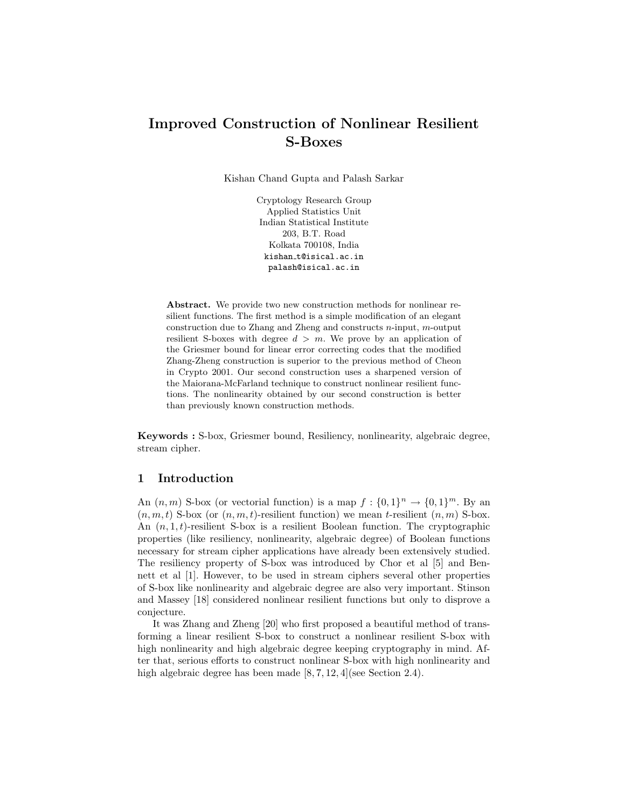# Improved Construction of Nonlinear Resilient S-Boxes

Kishan Chand Gupta and Palash Sarkar

Cryptology Research Group Applied Statistics Unit Indian Statistical Institute 203, B.T. Road Kolkata 700108, India kishan t@isical.ac.in palash@isical.ac.in

Abstract. We provide two new construction methods for nonlinear resilient functions. The first method is a simple modification of an elegant construction due to Zhang and Zheng and constructs n-input, m-output resilient S-boxes with degree  $d > m$ . We prove by an application of the Griesmer bound for linear error correcting codes that the modified Zhang-Zheng construction is superior to the previous method of Cheon in Crypto 2001. Our second construction uses a sharpened version of the Maiorana-McFarland technique to construct nonlinear resilient functions. The nonlinearity obtained by our second construction is better than previously known construction methods.

Keywords : S-box, Griesmer bound, Resiliency, nonlinearity, algebraic degree, stream cipher.

# 1 Introduction

An  $(n, m)$  S-box (or vectorial function) is a map  $f: \{0, 1\}^n \to \{0, 1\}^m$ . By an  $(n, m, t)$  S-box (or  $(n, m, t)$ -resilient function) we mean t-resilient  $(n, m)$  S-box. An  $(n, 1, t)$ -resilient S-box is a resilient Boolean function. The cryptographic properties (like resiliency, nonlinearity, algebraic degree) of Boolean functions necessary for stream cipher applications have already been extensively studied. The resiliency property of S-box was introduced by Chor et al [5] and Bennett et al [1]. However, to be used in stream ciphers several other properties of S-box like nonlinearity and algebraic degree are also very important. Stinson and Massey [18] considered nonlinear resilient functions but only to disprove a conjecture.

It was Zhang and Zheng [20] who first proposed a beautiful method of transforming a linear resilient S-box to construct a nonlinear resilient S-box with high nonlinearity and high algebraic degree keeping cryptography in mind. After that, serious efforts to construct nonlinear S-box with high nonlinearity and high algebraic degree has been made  $[8, 7, 12, 4]$  (see Section 2.4).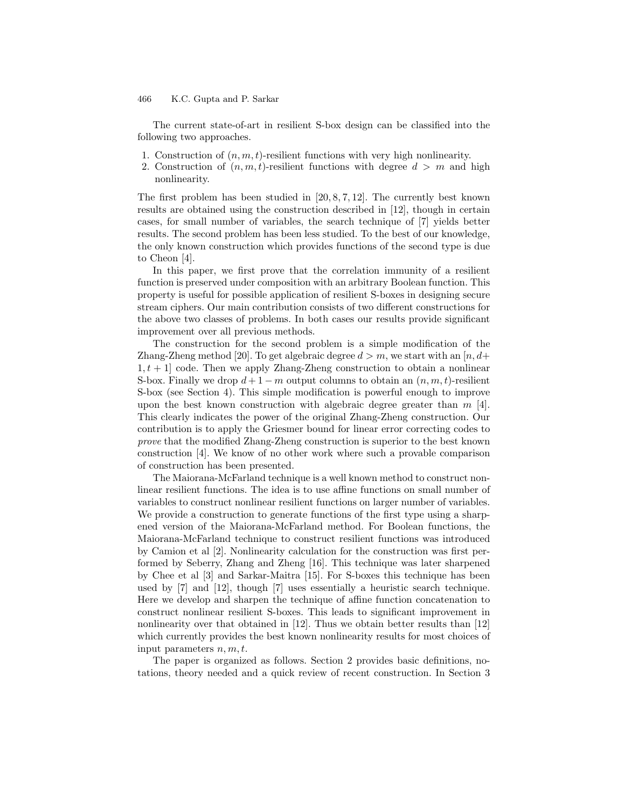The current state-of-art in resilient S-box design can be classified into the following two approaches.

- 1. Construction of  $(n, m, t)$ -resilient functions with very high nonlinearity.
- 2. Construction of  $(n, m, t)$ -resilient functions with degree  $d > m$  and high nonlinearity.

The first problem has been studied in  $[20, 8, 7, 12]$ . The currently best known results are obtained using the construction described in [12], though in certain cases, for small number of variables, the search technique of [7] yields better results. The second problem has been less studied. To the best of our knowledge, the only known construction which provides functions of the second type is due to Cheon [4].

In this paper, we first prove that the correlation immunity of a resilient function is preserved under composition with an arbitrary Boolean function. This property is useful for possible application of resilient S-boxes in designing secure stream ciphers. Our main contribution consists of two different constructions for the above two classes of problems. In both cases our results provide significant improvement over all previous methods.

The construction for the second problem is a simple modification of the Zhang-Zheng method [20]. To get algebraic degree  $d > m$ , we start with an [n, d+  $1, t + 1$  code. Then we apply Zhang-Zheng construction to obtain a nonlinear S-box. Finally we drop  $d+1-m$  output columns to obtain an  $(n, m, t)$ -resilient S-box (see Section 4). This simple modification is powerful enough to improve upon the best known construction with algebraic degree greater than  $m$  [4]. This clearly indicates the power of the original Zhang-Zheng construction. Our contribution is to apply the Griesmer bound for linear error correcting codes to prove that the modified Zhang-Zheng construction is superior to the best known construction [4]. We know of no other work where such a provable comparison of construction has been presented.

The Maiorana-McFarland technique is a well known method to construct nonlinear resilient functions. The idea is to use affine functions on small number of variables to construct nonlinear resilient functions on larger number of variables. We provide a construction to generate functions of the first type using a sharpened version of the Maiorana-McFarland method. For Boolean functions, the Maiorana-McFarland technique to construct resilient functions was introduced by Camion et al [2]. Nonlinearity calculation for the construction was first performed by Seberry, Zhang and Zheng [16]. This technique was later sharpened by Chee et al [3] and Sarkar-Maitra [15]. For S-boxes this technique has been used by [7] and [12], though [7] uses essentially a heuristic search technique. Here we develop and sharpen the technique of affine function concatenation to construct nonlinear resilient S-boxes. This leads to significant improvement in nonlinearity over that obtained in [12]. Thus we obtain better results than [12] which currently provides the best known nonlinearity results for most choices of input parameters  $n, m, t$ .

The paper is organized as follows. Section 2 provides basic definitions, notations, theory needed and a quick review of recent construction. In Section 3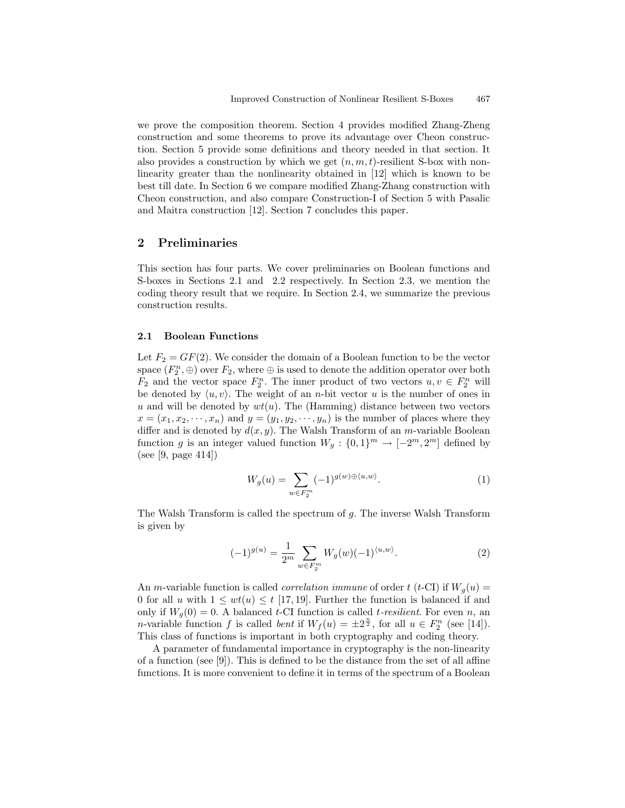we prove the composition theorem. Section 4 provides modified Zhang-Zheng construction and some theorems to prove its advantage over Cheon construction. Section 5 provide some definitions and theory needed in that section. It also provides a construction by which we get  $(n, m, t)$ -resilient S-box with nonlinearity greater than the nonlinearity obtained in [12] which is known to be best till date. In Section 6 we compare modified Zhang-Zhang construction with Cheon construction, and also compare Construction-I of Section 5 with Pasalic and Maitra construction [12]. Section 7 concludes this paper.

# 2 Preliminaries

This section has four parts. We cover preliminaries on Boolean functions and S-boxes in Sections 2.1 and 2.2 respectively. In Section 2.3, we mention the coding theory result that we require. In Section 2.4, we summarize the previous construction results.

### 2.1 Boolean Functions

Let  $F_2 = GF(2)$ . We consider the domain of a Boolean function to be the vector space  $(F_2^n, \oplus)$  over  $F_2$ , where  $\oplus$  is used to denote the addition operator over both  $F_2$  and the vector space  $F_2^n$ . The inner product of two vectors  $u, v \in F_2^n$  will be denoted by  $\langle u, v \rangle$ . The weight of an *n*-bit vector u is the number of ones in u and will be denoted by  $wt(u)$ . The (Hamming) distance between two vectors  $x = (x_1, x_2, \dots, x_n)$  and  $y = (y_1, y_2, \dots, y_n)$  is the number of places where they differ and is denoted by  $d(x, y)$ . The Walsh Transform of an *m*-variable Boolean function g is an integer valued function  $W_g: \{0,1\}^m \to [-2^m, 2^m]$  defined by (see [9, page 414])

$$
W_g(u) = \sum_{w \in F_2^m} (-1)^{g(w) \oplus \langle u, w \rangle}.
$$
 (1)

The Walsh Transform is called the spectrum of  $g$ . The inverse Walsh Transform is given by

$$
(-1)^{g(u)} = \frac{1}{2^m} \sum_{w \in F_2^m} W_g(w) (-1)^{\langle u, w \rangle}.
$$
 (2)

An *m*-variable function is called *correlation immune* of order  $t$  (*t*-CI) if  $W<sub>g</sub>(u)$  = 0 for all u with  $1 \leq wt(u) \leq t$  [17, 19]. Further the function is balanced if and only if  $W_q(0) = 0$ . A balanced t-CI function is called t-resilient. For even n, an *n*-variable function f is called *bent* if  $W_f(u) = \pm 2^{\frac{n}{2}}$ , for all  $u \in F_2^n$  (see [14]). This class of functions is important in both cryptography and coding theory.

A parameter of fundamental importance in cryptography is the non-linearity of a function (see [9]). This is defined to be the distance from the set of all affine functions. It is more convenient to define it in terms of the spectrum of a Boolean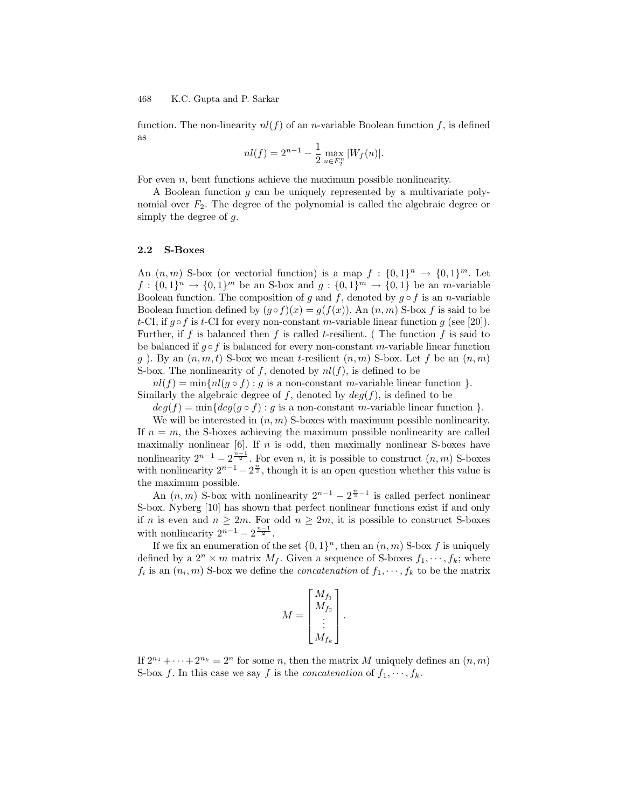function. The non-linearity  $nl(f)$  of an *n*-variable Boolean function f, is defined as

$$
nl(f) = 2^{n-1} - \frac{1}{2} \max_{u \in F_2^n} |W_f(u)|.
$$

For even  $n$ , bent functions achieve the maximum possible nonlinearity.

A Boolean function g can be uniquely represented by a multivariate polynomial over  $F_2$ . The degree of the polynomial is called the algebraic degree or simply the degree of g.

#### 2.2 S-Boxes

An  $(n, m)$  S-box (or vectorial function) is a map  $f : \{0, 1\}^n \to \{0, 1\}^m$ . Let  $f: \{0,1\}^n \to \{0,1\}^m$  be an S-box and  $g: \{0,1\}^m \to \{0,1\}$  be an m-variable Boolean function. The composition of g and f, denoted by  $g \circ f$  is an n-variable Boolean function defined by  $(q \circ f)(x) = q(f(x))$ . An  $(n, m)$  S-box f is said to be t-CI, if  $q \circ f$  is t-CI for every non-constant m-variable linear function  $q$  (see [20]). Further, if f is balanced then f is called t-resilient. (The function f is said to be balanced if  $q \circ f$  is balanced for every non-constant m-variable linear function g ). By an  $(n, m, t)$  S-box we mean t-resilient  $(n, m)$  S-box. Let f be an  $(n, m)$ S-box. The nonlinearity of f, denoted by  $nl(f)$ , is defined to be

 $nl(f) = \min\{nl(g \circ f) : g \text{ is a non-constant } m\text{-variable linear function }\}.$ Similarly the algebraic degree of f, denoted by  $deg(f)$ , is defined to be

 $deg(f) = \min\{deg(g \circ f) : g \text{ is a non-constant } m\}$ -variable linear function  $\}$ .

We will be interested in  $(n, m)$  S-boxes with maximum possible nonlinearity. If  $n = m$ , the S-boxes achieving the maximum possible nonlinearity are called maximally nonlinear  $[6]$ . If n is odd, then maximally nonlinear S-boxes have nonlinearity  $2^{n-1} - 2^{\frac{n-1}{2}}$ . For even n, it is possible to construct  $(n, m)$  S-boxes with nonlinearity  $2^{n-1} - 2^{\frac{n}{2}}$ , though it is an open question whether this value is the maximum possible.

An  $(n, m)$  S-box with nonlinearity  $2^{n-1} - 2^{\frac{n}{2}-1}$  is called perfect nonlinear S-box. Nyberg [10] has shown that perfect nonlinear functions exist if and only if n is even and  $n \geq 2m$ . For odd  $n \geq 2m$ , it is possible to construct S-boxes with nonlinearity  $2^{n-1} - 2^{\frac{n-1}{2}}$ .

If we fix an enumeration of the set  $\{0,1\}^n$ , then an  $(n,m)$  S-box  $f$  is uniquely defined by a  $2^n \times m$  matrix  $M_f$ . Given a sequence of S-boxes  $f_1, \dots, f_k$ ; where  $f_i$  is an  $(n_i, m)$  S-box we define the *concatenation* of  $f_1, \dots, f_k$  to be the matrix

$$
M = \begin{bmatrix} M_{f_1} \\ M_{f_2} \\ \vdots \\ M_{f_k} \end{bmatrix}.
$$

If  $2^{n_1} + \cdots + 2^{n_k} = 2^n$  for some *n*, then the matrix *M* uniquely defines an  $(n, m)$ S-box f. In this case we say f is the *concatenation* of  $f_1, \dots, f_k$ .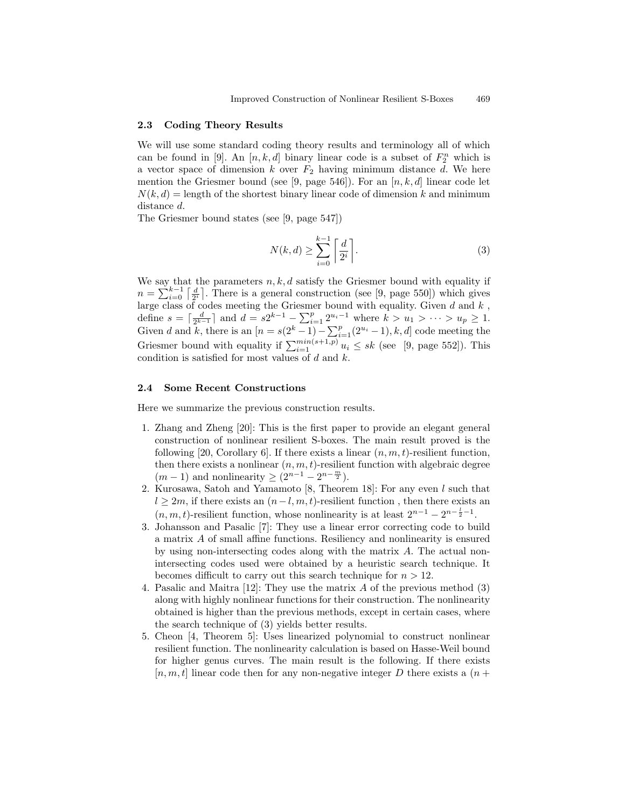### 2.3 Coding Theory Results

We will use some standard coding theory results and terminology all of which can be found in [9]. An  $[n, k, d]$  binary linear code is a subset of  $F_2^n$  which is a vector space of dimension k over  $F_2$  having minimum distance d. We here mention the Griesmer bound (see [9, page 546]). For an  $[n, k, d]$  linear code let  $N(k, d) =$  length of the shortest binary linear code of dimension k and minimum distance d.

The Griesmer bound states (see [9, page 547])

$$
N(k,d) \ge \sum_{i=0}^{k-1} \left\lceil \frac{d}{2^i} \right\rceil. \tag{3}
$$

We say that the parameters  $n, k, d$  satisfy the Griesmer bound with equality if  $n = \sum_{i=0}^{k-1} \left[\frac{d}{2^i}\right]$ . There is a general construction (see [9, page 550]) which gives  $u = \sum_{i=0}^{\infty} \frac{1}{2^i}$ . There is a general construction (see [5, page 500]) which gives<br>large class of codes meeting the Griesmer bound with equality. Given d and k, define  $s = \lceil \frac{d}{2^{k-1}} \rceil$  and  $d = s2^{k-1} - \sum_{i=1}^{p} 2^{u_i-1}$  where  $k > u_1 > \cdots > u_p \ge 1$ . Given d and k, there is an  $[n = s(2^k - 1) - \sum_{i=1}^p (2^{u_i} - 1), k, d]$  code meeting the Griesmer bound with equality if  $\sum_{i=1}^{\min(s+1,p)} u_i \leq sk$  (see [9, page 552]). This condition is satisfied for most values of  $d$  and  $k$ .

### 2.4 Some Recent Constructions

Here we summarize the previous construction results.

- 1. Zhang and Zheng [20]: This is the first paper to provide an elegant general construction of nonlinear resilient S-boxes. The main result proved is the following [20, Corollary 6]. If there exists a linear  $(n, m, t)$ -resilient function, then there exists a nonlinear  $(n, m, t)$ -resilient function with algebraic degree  $(m-1)$  and nonlinearity  $\geq (2^{n-1} - 2^{n - \frac{m}{2}})$ .
- 2. Kurosawa, Satoh and Yamamoto [8, Theorem 18]: For any even l such that  $l \geq 2m$ , if there exists an  $(n-l, m, t)$ -resilient function, then there exists an  $(n, m, t)$ -resilient function, whose nonlinearity is at least  $2^{n-1} - 2^{n-\frac{1}{2}-1}$ .
- 3. Johansson and Pasalic [7]: They use a linear error correcting code to build a matrix A of small affine functions. Resiliency and nonlinearity is ensured by using non-intersecting codes along with the matrix A. The actual nonintersecting codes used were obtained by a heuristic search technique. It becomes difficult to carry out this search technique for  $n > 12$ .
- 4. Pasalic and Maitra [12]: They use the matrix A of the previous method (3) along with highly nonlinear functions for their construction. The nonlinearity obtained is higher than the previous methods, except in certain cases, where the search technique of (3) yields better results.
- 5. Cheon [4, Theorem 5]: Uses linearized polynomial to construct nonlinear resilient function. The nonlinearity calculation is based on Hasse-Weil bound for higher genus curves. The main result is the following. If there exists  $[n, m, t]$  linear code then for any non-negative integer D there exists a  $(n +$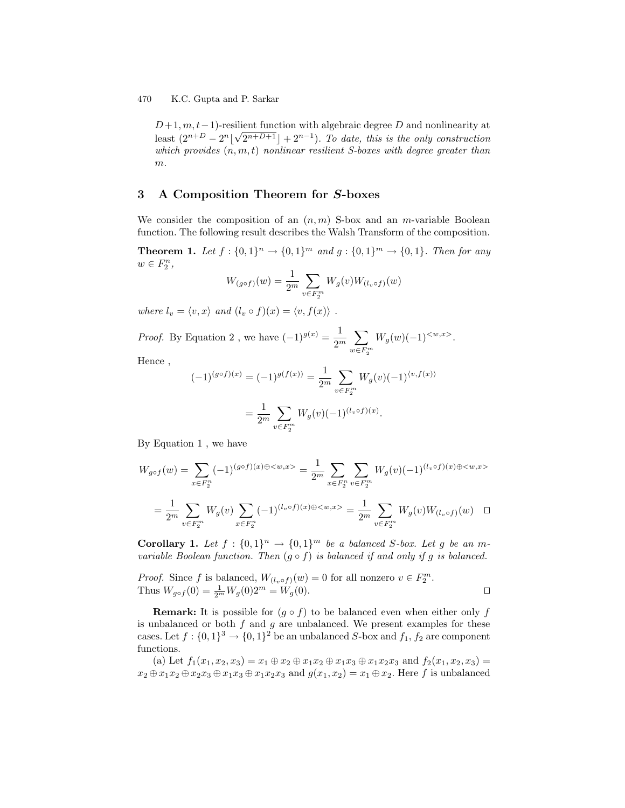$D+1, m, t-1$ )-resilient function with algebraic degree D and nonlinearity at least  $(2^{n+D} - 2^n \lfloor \sqrt{2^{n+D+1}} \rfloor + 2^{n-1})$ . To date, this is the only construction which provides  $(n, m, t)$  nonlinear resilient S-boxes with degree greater than  $m$ .

# 3 A Composition Theorem for S-boxes

We consider the composition of an  $(n, m)$  S-box and an *m*-variable Boolean function. The following result describes the Walsh Transform of the composition.

**Theorem 1.** Let  $f: \{0,1\}^n \to \{0,1\}^m$  and  $g: \{0,1\}^m \to \{0,1\}$ . Then for any  $w \in F_2^n$ ,

$$
W_{(g \circ f)}(w) = \frac{1}{2^m} \sum_{v \in F_2^m} W_g(v) W_{(l_v \circ f)}(w)
$$

where  $l_v = \langle v, x \rangle$  and  $(l_v \circ f)(x) = \langle v, f(x) \rangle$ .

*Proof.* By Equation 2, we have  $(-1)^{g(x)} = \frac{1}{2^n}$  $2^m$  $\sum$  $w \in F_2^m$  $W_g(w)(-1)^{< w,x>}$ .

Hence ,

$$
(-1)^{(g \circ f)(x)} = (-1)^{g(f(x))} = \frac{1}{2^m} \sum_{v \in F_2^m} W_g(v)(-1)^{\langle v, f(x) \rangle}
$$

$$
= \frac{1}{2^m} \sum_{v \in F_2^m} W_g(v)(-1)^{(l_v \circ f)(x)}.
$$

By Equation 1 , we have

$$
W_{g \circ f}(w) = \sum_{x \in F_2^n} (-1)^{(g \circ f)(x) \oplus \langle w, x \rangle} = \frac{1}{2^m} \sum_{x \in F_2^n} \sum_{v \in F_2^m} W_g(v) (-1)^{(l_v \circ f)(x) \oplus \langle w, x \rangle}
$$
  
= 
$$
\frac{1}{2^m} \sum_{v \in F_2^m} W_g(v) \sum_{x \in F_2^n} (-1)^{(l_v \circ f)(x) \oplus \langle w, x \rangle} = \frac{1}{2^m} \sum_{v \in F_2^m} W_g(v) W_{(l_v \circ f)}(w) \square
$$

**Corollary 1.** Let  $f : \{0,1\}^n \to \{0,1\}^m$  be a balanced S-box. Let g be an mvariable Boolean function. Then  $(g \circ f)$  is balanced if and only if g is balanced.

*Proof.* Since f is balanced,  $W_{(l_v \circ f)}(w) = 0$  for all nonzero  $v \in F_2^m$ . Thus  $W_{g \circ f}(0) = \frac{1}{2^m} W_g(0) 2^m = W_g(0)$ .

**Remark:** It is possible for  $(g \circ f)$  to be balanced even when either only f is unbalanced or both  $f$  and  $g$  are unbalanced. We present examples for these cases. Let  $f: \{0,1\}^3 \to \{0,1\}^2$  be an unbalanced S-box and  $f_1, f_2$  are component functions.

(a) Let  $f_1(x_1, x_2, x_3) = x_1 \oplus x_2 \oplus x_1x_2 \oplus x_1x_3 \oplus x_1x_2x_3$  and  $f_2(x_1, x_2, x_3) =$  $x_2 \oplus x_1x_2 \oplus x_2x_3 \oplus x_1x_3 \oplus x_1x_2x_3$  and  $g(x_1, x_2) = x_1 \oplus x_2$ . Here f is unbalanced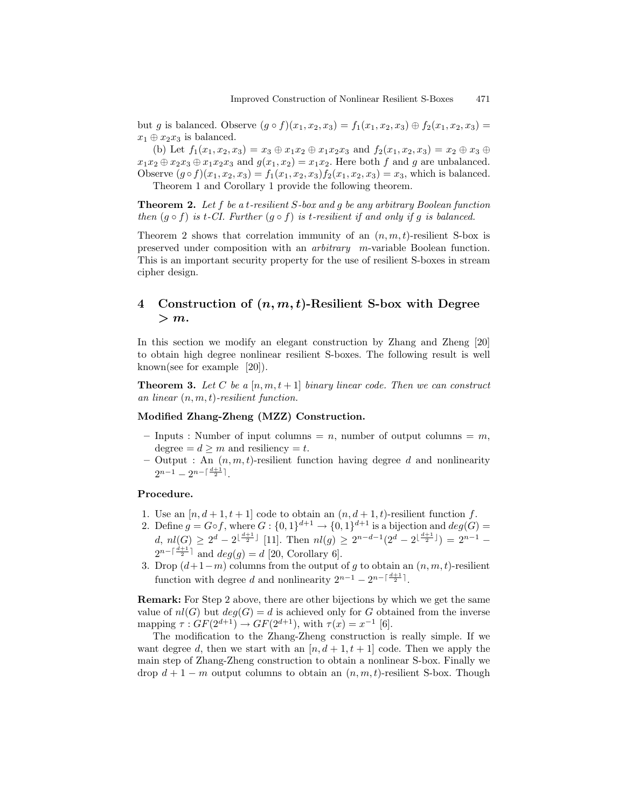but g is balanced. Observe  $(g \circ f)(x_1, x_2, x_3) = f_1(x_1, x_2, x_3) \oplus f_2(x_1, x_2, x_3) =$  $x_1 \oplus x_2x_3$  is balanced.

(b) Let  $f_1(x_1, x_2, x_3) = x_3 \oplus x_1x_2 \oplus x_1x_2x_3$  and  $f_2(x_1, x_2, x_3) = x_2 \oplus x_3 \oplus x_2$  $x_1x_2 \oplus x_2x_3 \oplus x_1x_2x_3$  and  $g(x_1, x_2) = x_1x_2$ . Here both f and g are unbalanced. Observe  $(g \circ f)(x_1, x_2, x_3) = f_1(x_1, x_2, x_3) f_2(x_1, x_2, x_3) = x_3$ , which is balanced. Theorem 1 and Corollary 1 provide the following theorem.

Theorem 2. Let f be a t-resilient S-box and g be any arbitrary Boolean function

then  $(g \circ f)$  is t-CI. Further  $(g \circ f)$  is t-resilient if and only if g is balanced.

Theorem 2 shows that correlation immunity of an  $(n, m, t)$ -resilient S-box is preserved under composition with an arbitrary m-variable Boolean function. This is an important security property for the use of resilient S-boxes in stream cipher design.

# 4 Construction of  $(n, m, t)$ -Resilient S-box with Degree  $> m$ .

In this section we modify an elegant construction by Zhang and Zheng [20] to obtain high degree nonlinear resilient S-boxes. The following result is well known(see for example [20]).

**Theorem 3.** Let C be a  $[n, m, t+1]$  binary linear code. Then we can construct an linear  $(n, m, t)$ -resilient function.

# Modified Zhang-Zheng (MZZ) Construction.

- Inputs : Number of input columns = n, number of output columns =  $m$ , degree =  $d \geq m$  and resiliency = t.
- Output : An  $(n, m, t)$ -resilient function having degree d and nonlinearity  $2^{n-1} - 2^{n-\lceil \frac{d+1}{2} \rceil}$ .

### Procedure.

- 1. Use an  $[n, d+1, t+1]$  code to obtain an  $(n, d+1, t)$ -resilient function f.
- 2. Define  $g = G \circ f$ , where  $G : \{0,1\}^{d+1} \to \{0,1\}^{d+1}$  is a bijection and  $deg(G)$ d,  $nl(G) \geq 2^d - 2^{\lfloor \frac{d+1}{2} \rfloor}$  [11]. Then  $nl(g) \geq 2^{n-d-1}(2^d - 2^{\lfloor \frac{d+1}{2} \rfloor}) = 2^{n-1}$  $2^{n-\lceil \frac{d+1}{2} \rceil}$  and  $deg(g) = d$  [20, Corollary 6].
- 3. Drop  $(d+1-m)$  columns from the output of g to obtain an  $(n, m, t)$ -resilient function with degree d and nonlinearity  $2^{n-1} - 2^{n-\lceil \frac{d+1}{2} \rceil}$ .

Remark: For Step 2 above, there are other bijections by which we get the same value of  $nl(G)$  but  $deg(G) = d$  is achieved only for G obtained from the inverse mapping  $\tau : GF(2^{d+1}) \to GF(2^{d+1}),$  with  $\tau(x) = x^{-1}$  [6].

The modification to the Zhang-Zheng construction is really simple. If we want degree d, then we start with an  $[n, d+1, t+1]$  code. Then we apply the main step of Zhang-Zheng construction to obtain a nonlinear S-box. Finally we drop  $d+1-m$  output columns to obtain an  $(n, m, t)$ -resilient S-box. Though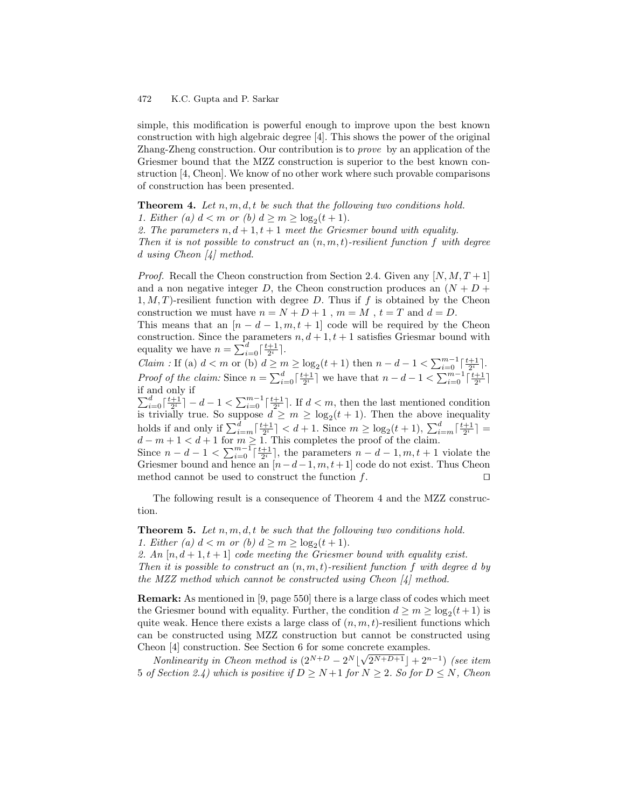simple, this modification is powerful enough to improve upon the best known construction with high algebraic degree [4]. This shows the power of the original Zhang-Zheng construction. Our contribution is to prove by an application of the Griesmer bound that the MZZ construction is superior to the best known construction [4, Cheon]. We know of no other work where such provable comparisons of construction has been presented.

**Theorem 4.** Let  $n, m, d, t$  be such that the following two conditions hold.

1. Either (a)  $d < m$  or (b)  $d \ge m \ge \log_2(t+1)$ .

2. The parameters  $n, d+1, t+1$  meet the Griesmer bound with equality. Then it is not possible to construct an  $(n, m, t)$ -resilient function f with degree d using Cheon [4] method.

*Proof.* Recall the Cheon construction from Section 2.4. Given any  $[N, M, T + 1]$ and a non negative integer D, the Cheon construction produces an  $(N + D +$  $1, M, T$ )-resilient function with degree D. Thus if f is obtained by the Cheon construction we must have  $n = N + D + 1$ ,  $m = M$ ,  $t = T$  and  $d = D$ .

This means that an  $[n - d - 1, m, t + 1]$  code will be required by the Cheon construction. Since the parameters  $n, d+1, t+1$  satisfies Griesmar bound with equality we have  $n = \sum_{i=0}^{d} \lceil \frac{t+1}{2^i} \rceil$ .

*Claim* : If (a)  $d < m$  or (b)  $d \ge m \ge \log_2(t+1)$  then  $n - d - 1 < \sum_{i=0}^{m-1} \left[\frac{t+1}{2^i}\right]$ . *Proof of the claim:* Since  $n = \sum_{i=0}^d \lceil \frac{t+1}{2^i} \rceil$  we have that  $n - d - 1 < \sum_{i=0}^{m-1} \lceil \frac{t+1}{2^i} \rceil$ if and only if

 $\sum_{i=0}^d \lceil \frac{t+1}{2^i} \rceil - d - 1 < \sum_{i=0}^{m-1} \lceil \frac{t+1}{2^i} \rceil$ . If  $d < m$ , then the last mentioned condition is trivially true. So suppose  $d \geq m \geq \log_2(t+1)$ . Then the above inequality holds if and only if  $\sum_{i=m}^d \left\lceil \frac{t+1}{2^i} \right\rceil < d+1$ . Since  $m \geq \log_2(t+1)$ ,  $\sum_{i=m}^d \left\lceil \frac{t+1}{2^i} \right\rceil =$  $d-m+1 < d+1$  for  $m \geq 1$ . This completes the proof of the claim.

Since  $n - d - 1 < \sum_{i=0}^{m-1} \lceil \frac{t+1}{2^i} \rceil$ , the parameters  $n - d - 1, m, t + 1$  violate the Griesmer bound and hence an  $[n-d-1, m, t+1]$  code do not exist. Thus Cheon method cannot be used to construct the function  $f$ . method cannot be used to construct the function  $f$ .

The following result is a consequence of Theorem 4 and the MZZ construction.

**Theorem 5.** Let  $n, m, d, t$  be such that the following two conditions hold. 1. Either (a)  $d < m$  or (b)  $d \ge m \ge \log_2(t+1)$ .

2. An  $[n, d+1, t+1]$  code meeting the Griesmer bound with equality exist.

Then it is possible to construct an  $(n, m, t)$ -resilient function f with degree d by the MZZ method which cannot be constructed using Cheon [4] method.

Remark: As mentioned in [9, page 550] there is a large class of codes which meet the Griesmer bound with equality. Further, the condition  $d \ge m \ge \log_2(t+1)$  is quite weak. Hence there exists a large class of  $(n, m, t)$ -resilient functions which can be constructed using MZZ construction but cannot be constructed using Cheon [4] construction. See Section 6 for some concrete examples.

Nonlinearity in Cheon method is  $(2^{N+D} - 2^N \lfloor \sqrt{2^{N+D+1}} \rfloor + 2^{n-1})$  (see item 5 of Section 2.4) which is positive if  $D \ge N+1$  for  $N \ge 2$ . So for  $D \le N$ , Cheon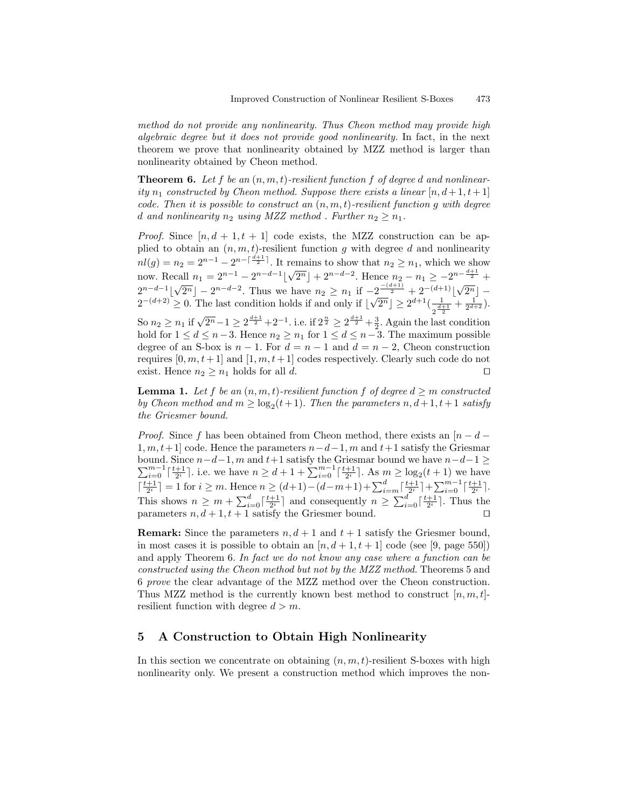method do not provide any nonlinearity. Thus Cheon method may provide high algebraic degree but it does not provide good nonlinearity. In fact, in the next theorem we prove that nonlinearity obtained by MZZ method is larger than nonlinearity obtained by Cheon method.

**Theorem 6.** Let f be an  $(n, m, t)$ -resilient function f of degree d and nonlinearity  $n_1$  constructed by Cheon method. Suppose there exists a linear  $[n, d+1, t+1]$ code. Then it is possible to construct an  $(n, m, t)$ -resilient function q with degree d and nonlinearity  $n_2$  using MZZ method. Further  $n_2 \geq n_1$ .

*Proof.* Since  $[n, d + 1, t + 1]$  code exists, the MZZ construction can be applied to obtain an  $(n, m, t)$ -resilient function g with degree d and nonlinearity  $nl(g) = n_2 = 2^{n-1} - 2^{n-\lceil \frac{d+1}{2} \rceil}$ . It remains to show that  $n_2 \geq n_1$ , which we show now. Recall  $n_1 = 2^{n-1} - 2^{n-d-1}$  $\sqrt{2^n}$  +  $2^{n-d-2}$ . Hence  $n_2 - n_1 \ge -2^{n-\frac{d+1}{2}}$  +  $2^{n-d-1}$  $\sqrt{2^n}$  –  $2^{n-d-2}$ . Thus we have  $n_2 \geq n_1$  if  $-2^{-\frac{(d+1)}{2}} + 2^{-(d+1)} \lfloor \sqrt{2^n} \rfloor$  $2^{-(d+2)} \geq 0$ . The last condition holds if and only if  $\lfloor \sqrt{2^n} \rfloor \geq 2^{d+1} \left( \frac{1}{2^{d+1}} \right)$  $\frac{1}{2^{\frac{d+1}{2}}}+\frac{1}{2^{d+2}}).$ 

So  $n_2 \ge n_1$  if  $\sqrt{2^n} - 1 \ge 2^{\frac{d+1}{2}} + 2^{-1}$ . i.e. if  $2^{\frac{n}{2}} \ge 2^{\frac{d+1}{2}} + \frac{3}{2}$ . Again the last condition hold for  $1 \leq d \leq n-3$ . Hence  $n_2 \geq n_1$  for  $1 \leq d \leq n-3$ . The maximum possible degree of an S-box is  $n-1$ . For  $d = n-1$  and  $d = n-2$ , Cheon construction requires  $[0, m, t+1]$  and  $[1, m, t+1]$  codes respectively. Clearly such code do not exist. Hence  $n_2 \geq n_1$  holds for all d.

**Lemma 1.** Let f be an  $(n, m, t)$ -resilient function f of degree  $d \geq m$  constructed by Cheon method and  $m \geq \log_2(t+1)$ . Then the parameters  $n, d+1, t+1$  satisfy the Griesmer bound.

*Proof.* Since f has been obtained from Cheon method, there exists an  $[n - d 1, m, t+1$ ] code. Hence the parameters  $n-d-1, m$  and  $t+1$  satisfy the Griesmar  $\sum_{i=0}^{m-1} \lceil \frac{t+1}{2^i} \rceil$ . i.e. we have  $n \geq d+1+\sum_{i=0}^{m-1} \lceil \frac{t+1}{2^i} \rceil$ . As  $m \geq \log_2(t+1)$  we have bound. Since  $n-d-1$ , m and  $t+1$  satisfy the Griesmar bound we have  $n-d-1 \ge$  $\lceil \frac{t+1}{2^i} \rceil = 1$  for  $i \geq m$ . Hence  $n \geq (d+1) - (d-m+1) + \sum_{i=m}^{d} \lceil \frac{t+1}{2^i} \rceil + \sum_{i=0}^{m-1} \lceil \frac{t+1}{2^i} \rceil$ . This shows  $n \geq m + \sum_{i=0}^d \lceil \frac{t+1}{2^i} \rceil$  and consequently  $n \geq \sum_{i=0}^d \lceil \frac{t+1}{2^i} \rceil$ . Thus the parameters  $n, d+1, t+1$  satisfy the Griesmer bound.

**Remark:** Since the parameters  $n, d+1$  and  $t+1$  satisfy the Griesmer bound, in most cases it is possible to obtain an  $[n, d+1, t+1]$  code (see [9, page 550]) and apply Theorem 6. In fact we do not know any case where a function can be constructed using the Cheon method but not by the MZZ method. Theorems 5 and 6 prove the clear advantage of the MZZ method over the Cheon construction. Thus MZZ method is the currently known best method to construct  $[n, m, t]$ resilient function with degree  $d > m$ .

# 5 A Construction to Obtain High Nonlinearity

In this section we concentrate on obtaining  $(n, m, t)$ -resilient S-boxes with high nonlinearity only. We present a construction method which improves the non-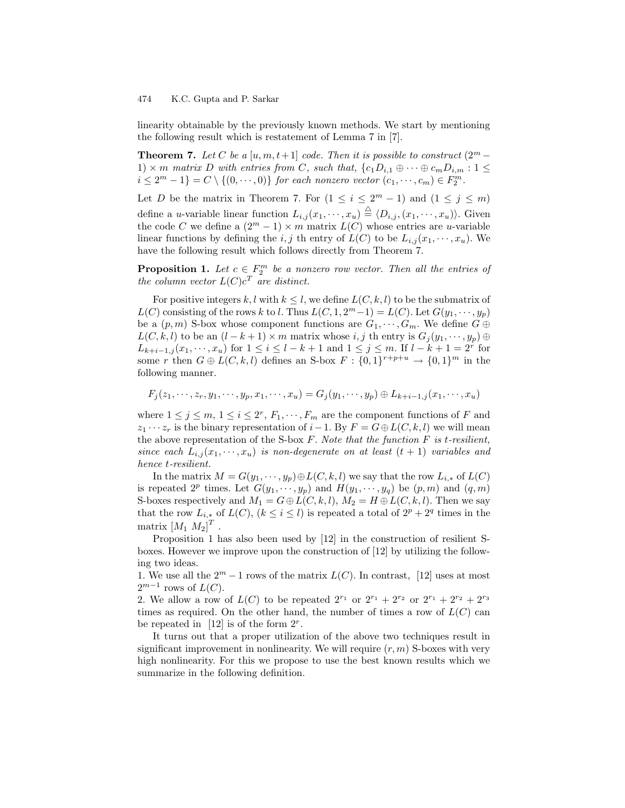linearity obtainable by the previously known methods. We start by mentioning the following result which is restatement of Lemma 7 in [7].

**Theorem 7.** Let C be a [u, m, t + 1] code. Then it is possible to construct  $(2^m -$ 1)  $\times$  m matrix D with entries from C, such that,  $\{c_1D_{i,1} \oplus \cdots \oplus c_mD_{i,m} : 1 \leq$  $i \leq 2^m - 1$  =  $C \setminus \{(0, \dots, 0)\}$  for each nonzero vector  $(c_1, \dots, c_m) \in F_2^m$ .

Let D be the matrix in Theorem 7. For  $(1 \leq i \leq 2^m - 1)$  and  $(1 \leq j \leq m)$ define a *u*-variable linear function  $L_{i,j}(x_1, \dots, x_u) \stackrel{\triangle}{=} \langle D_{i,j}, (x_1, \dots, x_u) \rangle$ . Given the code C we define a  $(2^m - 1) \times m$  matrix  $L(C)$  whose entries are u-variable linear functions by defining the i, j th entry of  $L(C)$  to be  $L_{i,j}(x_1, \dots, x_u)$ . We have the following result which follows directly from Theorem 7.

**Proposition 1.** Let  $c \in F_2^m$  be a nonzero row vector. Then all the entries of the column vector  $L(C)c^T$  are distinct.

For positive integers k, l with  $k \leq l$ , we define  $L(C, k, l)$  to be the submatrix of  $L(C)$  consisting of the rows k to l. Thus  $L(C, 1, 2<sup>m</sup>-1) = L(C)$ . Let  $G(y_1, \dots, y_p)$ be a  $(p, m)$  S-box whose component functions are  $G_1, \dots, G_m$ . We define  $G \oplus$  $L(C, k, l)$  to be an  $(l - k + 1) \times m$  matrix whose i, j th entry is  $G_j(y_1, \dots, y_p) \oplus$  $L_{k+i-1,j}(x_1, \dots, x_u)$  for  $1 \leq i \leq l-k+1$  and  $1 \leq j \leq m$ . If  $l-k+1 = 2^r$  for some r then  $G \oplus L(C, k, l)$  defines an S-box  $F: \{0, 1\}^{r+p+u} \to \{0, 1\}^m$  in the following manner.

$$
F_j(z_1,\dots,z_r,y_1,\dots,y_p,x_1,\dots,x_u)=G_j(y_1,\dots,y_p)\oplus L_{k+i-1,j}(x_1,\dots,x_u)
$$

where  $1 \leq j \leq m, 1 \leq i \leq 2^r, F_1, \cdots, F_m$  are the component functions of F and  $z_1 \cdots z_r$  is the binary representation of  $i-1$ . By  $F = G \oplus L(C, k, l)$  we will mean the above representation of the S-box  $F$ . Note that the function  $F$  is t-resilient, since each  $L_{i,j}(x_1, \dots, x_u)$  is non-degenerate on at least  $(t + 1)$  variables and hence t-resilient.

In the matrix  $M = G(y_1, \dots, y_p) \oplus L(C, k, l)$  we say that the row  $L_{i,*}$  of  $L(C)$ is repeated  $2^p$  times. Let  $G(y_1, \dots, y_p)$  and  $H(y_1, \dots, y_q)$  be  $(p, m)$  and  $(q, m)$ S-boxes respectively and  $M_1 = G \oplus L(C, k, l)$ ,  $M_2 = H \oplus L(C, k, l)$ . Then we say that the row  $L_{i,*}$  of  $L(C)$ ,  $(k \leq i \leq l)$  is repeated a total of  $2^p + 2^q$  times in the matrix  $\left[M_1 \ M_2\right]^T$ .

Proposition 1 has also been used by [12] in the construction of resilient Sboxes. However we improve upon the construction of [12] by utilizing the following two ideas.

1. We use all the  $2^m - 1$  rows of the matrix  $L(C)$ . In contrast, [12] uses at most  $2^{m-1}$  rows of  $L(C)$ .

2. We allow a row of  $L(C)$  to be repeated  $2^{r_1}$  or  $2^{r_1} + 2^{r_2}$  or  $2^{r_1} + 2^{r_2} + 2^{r_3}$ times as required. On the other hand, the number of times a row of  $L(C)$  can be repeated in [12] is of the form  $2^r$ .

It turns out that a proper utilization of the above two techniques result in significant improvement in nonlinearity. We will require  $(r, m)$  S-boxes with very high nonlinearity. For this we propose to use the best known results which we summarize in the following definition.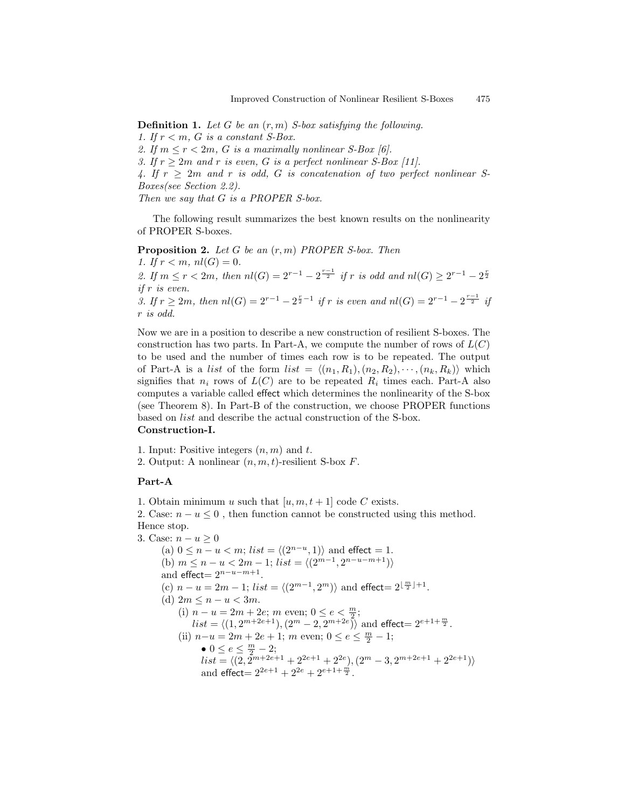**Definition 1.** Let G be an  $(r, m)$  S-box satisfying the following. 1. If  $r < m$ , G is a constant S-Box. 2. If  $m \le r < 2m$ , G is a maximally nonlinear S-Box [6]. 3. If  $r \geq 2m$  and r is even, G is a perfect nonlinear S-Box [11]. 4. If  $r \geq 2m$  and r is odd, G is concatenation of two perfect nonlinear S-Boxes(see Section 2.2). Then we say that G is a PROPER S-box.

The following result summarizes the best known results on the nonlinearity of PROPER S-boxes.

**Proposition 2.** Let G be an  $(r, m)$  PROPER S-box. Then 1. If  $r < m$ ,  $nl(G) = 0$ . 2. If  $m \le r < 2m$ , then  $nl(G) = 2^{r-1} - 2^{\frac{r-1}{2}}$  if r is odd and  $nl(G) \ge 2^{r-1} - 2^{\frac{r}{2}}$ if r is even. 3. If  $r \ge 2m$ , then  $nl(G) = 2^{r-1} - 2^{\frac{r}{2}-1}$  if r is even and  $nl(G) = 2^{r-1} - 2^{\frac{r-1}{2}}$  if r is odd.

Now we are in a position to describe a new construction of resilient S-boxes. The construction has two parts. In Part-A, we compute the number of rows of  $L(C)$ to be used and the number of times each row is to be repeated. The output of Part-A is a list of the form  $list = \langle (n_1, R_1), (n_2, R_2), \cdots, (n_k, R_k) \rangle$  which signifies that  $n_i$  rows of  $L(C)$  are to be repeated  $R_i$  times each. Part-A also computes a variable called effect which determines the nonlinearity of the S-box (see Theorem 8). In Part-B of the construction, we choose PROPER functions based on list and describe the actual construction of the S-box.

#### Construction-I.

1. Input: Positive integers  $(n, m)$  and t. 2. Output: A nonlinear  $(n, m, t)$ -resilient S-box F.

### Part-A

1. Obtain minimum u such that  $[u, m, t + 1]$  code C exists. 2. Case:  $n - u \leq 0$ , then function cannot be constructed using this method. Hence stop. 3. Case:  $n - u \geq 0$ 

(a)  $0 \le n - u < m$ ; *list* =  $\langle (2^{n-u}, 1) \rangle$  and effect = 1. (b)  $m \leq n - u < 2m - 1$ ;  $list = \langle (2^{m-1}, 2^{n-u-m+1}) \rangle$ and effect =  $2^{n-u-m+1}$ . (c)  $n - u = 2m - 1$ ;  $list = \langle (2^{m-1}, 2^m) \rangle$  and effect=  $2^{\lfloor \frac{m}{2} \rfloor + 1}$ . (d)  $2m \leq n - u < 3m$ . (i)  $n - u = 2m + 2e$ ; m even;  $0 \le e \le \frac{m}{2}$ ;  $\lim_{k \to \infty} \frac{1}{2k} \sum_{k=1}^{\infty} \frac{1}{2k} \sum_{k=1}^{\infty} \frac{1}{2k} \sum_{k=1}^{\infty} \frac{1}{2k} \sum_{k=1}^{\infty} \frac{1}{2k} \sum_{k=1}^{\infty} \frac{1}{2k} \sum_{k=1}^{\infty} \frac{1}{2k} \sum_{k=1}^{\infty} \frac{1}{2k} \sum_{k=1}^{\infty} \frac{1}{2k} \sum_{k=1}^{\infty} \frac{1}{2k} \sum_{k=1}^{\infty} \frac{1}{2k} \sum$ (ii)  $n-u = 2m + 2e + 1$ ;  $m$  even;  $0 \le e \le \frac{m}{2} - 1$ ; •  $0 \le e \le \frac{m}{2} - 2;$  $list = \langle (2, 2^{m+2e+1} + 2^{2e+1} + 2^{2e}), (2^m - 3, 2^{m+2e+1} + 2^{2e+1}) \rangle$ and effect =  $2^{2e+1} + 2^{2e} + 2^{e+1+\frac{m}{2}}$ .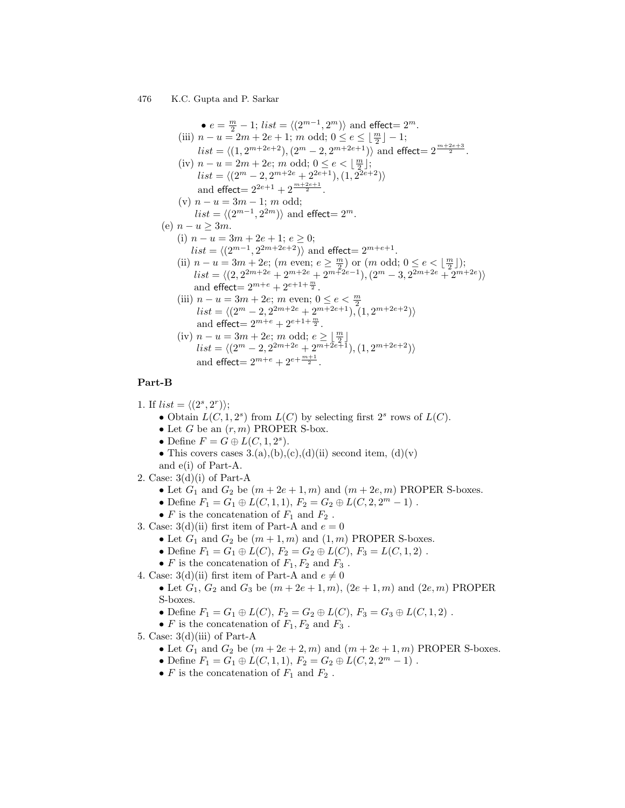•  $e = \frac{m}{2} - 1$ ; *list* =  $\langle (2^{m-1}, 2^m) \rangle$  and effect=  $2^m$ . (iii)  $n - u = 2m + 2e + 1$ ;  $m$  odd;  $0 \le e \le \lfloor \frac{m}{2} \rfloor - 1$ ;  $list = \langle (1, 2^{m+2e+2}), (2^m - 2, 2^{m+2e+1}) \rangle$  and effect=  $2^{\frac{m+2e+3}{2}}$ . (iv)  $n - u = 2m + 2e$ ; m odd;  $0 \le e \le \lfloor \frac{m}{2} \rfloor$ ;  $list = \langle (2^m - 2, 2^{m+2e} + 2^{2e+1}), (1, 2^{2e+2}) \rangle$ and effect  $= 2^{2e+1} + 2^{\frac{m+2e+1}{2}}$ . (v)  $n - u = 3m - 1$ ; m odd;  $list = \langle (2^{m-1}, 2^{2m}) \rangle$  and effect=  $2^m$ . (e)  $n - u > 3m$ . (i)  $n - u = 3m + 2e + 1$ ;  $e \ge 0$ ;  $list = \langle (2^{m-1}, 2^{2m+2e+2}) \rangle$  and effect=  $2^{m+e+1}$ . (ii)  $n - u = 3m + 2e$ ;  $(m \text{ even}; e \ge \frac{m}{2})$  or  $(m \text{ odd}; 0 \le e \le \lfloor \frac{m}{2} \rfloor)$ ;  $list = \langle (2, 2^{2m+2e} + 2^{m+2e} + 2^{m+2e-1}), (2^m - 3, 2^{2m+2e} + 2^{m+2e}) \rangle$ and  $\text{effect} = 2^{m+e} + 2^{e+1+\frac{m}{2}}$ . (iii)  $n - u = 3m + 2e$ ; m even;  $0 \le e \le \frac{m}{2}$  $list = \langle (2^m - 2, 2^{2m+2e} + 2^{m+2e+1}), (1, 2^{m+2e+2}) \rangle$ and  $\text{effect} = 2^{m+e} + 2^{e+1+\frac{m}{2}}$ . (iv)  $n - u = 3m + 2e$ ; m odd;  $e \geq \lfloor \frac{m}{2} \rfloor$ <br>  $list = \langle (2^m - 2, 2^{2m+2e} + 2^{m+2e+1}), (1, 2^{m+2e+2}) \rangle$ and effect  $= 2^{m+e} + 2^{e + \frac{m+1}{2}}$ .

#### Part-B

1. If  $list = \langle (2^s, 2^r) \rangle;$ 

- Obtain  $L(C, 1, 2<sup>s</sup>)$  from  $L(C)$  by selecting first  $2<sup>s</sup>$  rows of  $L(C)$ .
- Let G be an  $(r, m)$  PROPER S-box.
- Define  $F = G \oplus L(C, 1, 2<sup>s</sup>).$
- This covers cases  $3.(a),(b),(c),(d)(ii)$  second item,  $(d)(v)$ and e(i) of Part-A.
- 2. Case:  $3(d)(i)$  of Part-A
	- Let  $G_1$  and  $G_2$  be  $(m+2e+1,m)$  and  $(m+2e,m)$  PROPER S-boxes.
	- Define  $F_1 = G_1 \oplus L(C, 1, 1), F_2 = G_2 \oplus L(C, 2, 2<sup>m</sup> 1)$ .
	- $F$  is the concatenation of  $F_1$  and  $F_2$ .
- 3. Case:  $3(d)(ii)$  first item of Part-A and  $e = 0$ 
	- Let  $G_1$  and  $G_2$  be  $(m+1, m)$  and  $(1, m)$  PROPER S-boxes.
	- Define  $F_1 = G_1 \oplus L(C)$ ,  $F_2 = G_2 \oplus L(C)$ ,  $F_3 = L(C, 1, 2)$ .
	- F is the concatenation of  $F_1, F_2$  and  $F_3$ .
- 4. Case: 3(d)(ii) first item of Part-A and  $e \neq 0$

• Let  $G_1, G_2$  and  $G_3$  be  $(m + 2e + 1, m)$ ,  $(2e + 1, m)$  and  $(2e, m)$  PROPER S-boxes.

- Define  $F_1 = G_1 \oplus L(C)$ ,  $F_2 = G_2 \oplus L(C)$ ,  $F_3 = G_3 \oplus L(C, 1, 2)$ .
- F is the concatenation of  $F_1, F_2$  and  $F_3$ .
- 5. Case:  $3(d)(iii)$  of Part-A
	- Let  $G_1$  and  $G_2$  be  $(m + 2e + 2, m)$  and  $(m + 2e + 1, m)$  PROPER S-boxes.
	- Define  $F_1 = G_1 \oplus L(C, 1, 1), F_2 = G_2 \oplus L(C, 2, 2<sup>m</sup> 1)$ .
	- $F$  is the concatenation of  $F_1$  and  $F_2$ .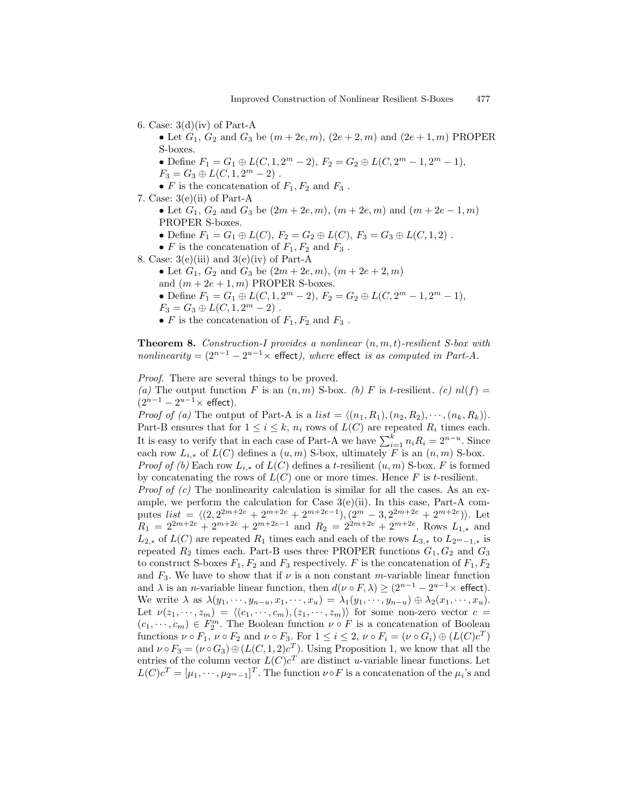6. Case:  $3(d)(iv)$  of Part-A

• Let  $G_1, G_2$  and  $G_3$  be  $(m + 2e, m), (2e + 2, m)$  and  $(2e + 1, m)$  PROPER S-boxes.

• Define  $F_1 = G_1 \oplus L(C, 1, 2^m - 2), F_2 = G_2 \oplus L(C, 2^m - 1, 2^m - 1),$ 

 $F_3 = G_3 \oplus L(C, 1, 2<sup>m</sup> - 2)$ .

- F is the concatenation of  $F_1, F_2$  and  $F_3$ .
- 7. Case: 3(e)(ii) of Part-A

• Let  $G_1, G_2$  and  $G_3$  be  $(2m + 2e, m), (m + 2e, m)$  and  $(m + 2e - 1, m)$ PROPER S-boxes.

- Define  $F_1 = G_1 \oplus L(C)$ ,  $F_2 = G_2 \oplus L(C)$ ,  $F_3 = G_3 \oplus L(C, 1, 2)$ .
- F is the concatenation of  $F_1, F_2$  and  $F_3$ .
- 8. Case:  $3(e)(iii)$  and  $3(e)(iv)$  of Part-A
	- Let  $G_1, G_2$  and  $G_3$  be  $(2m + 2e, m), (m + 2e + 2, m)$ and  $(m + 2e + 1, m)$  PROPER S-boxes.
	- Define  $F_1 = G_1 \oplus L(C, 1, 2<sup>m</sup> 2), F_2 = G_2 \oplus L(C, 2<sup>m</sup> 1, 2<sup>m</sup> 1),$  $F_3 = G_3 \oplus L(C, 1, 2<sup>m</sup> - 2)$ .
	- F is the concatenation of  $F_1, F_2$  and  $F_3$ .

**Theorem 8.** Construction-I provides a nonlinear  $(n, m, t)$ -resilient S-box with *nonlinearity* =  $(2^{n-1} – 2^{u-1} ×$  effect), where effect is as computed in Part-A.

Proof. There are several things to be proved. (a) The output function F is an  $(n, m)$  S-box. (b) F is t-resilient. (c)  $nl(f)$  =  $(2^{n-1}-2^{u-1}\times \text{effect}).$ 

*Proof of (a)* The output of Part-A is a *list* =  $\langle (n_1, R_1), (n_2, R_2), \cdots, (n_k, R_k) \rangle$ . Part-B ensures that for  $1 \leq i \leq k$ ,  $n_i$  rows of  $L(C)$  are repeated  $R_i$  times each. It is easy to verify that in each case of Part-A we have  $\sum_{i=1}^{k} n_i R_i = 2^{n-u}$ . Since each row  $L_{i,*}$  of  $L(C)$  defines a  $(u,m)$  S-box, ultimately F is an  $(n,m)$  S-box. *Proof of (b)* Each row  $L_{i,*}$  of  $L(C)$  defines a t-resilient  $(u, m)$  S-box. F is formed by concatenating the rows of  $L(C)$  one or more times. Hence F is t-resilient. *Proof of (c)* The nonlinearity calculation is similar for all the cases. As an example, we perform the calculation for Case  $3(e)$ (ii). In this case, Part-A computes  $list = \langle (2, 2^{2m+2e} + 2^{m+2e} + 2^{m+2e-1}), (2^m - 3, 2^{2m+2e} + 2^{m+2e}) \rangle$ . Let  $R_1 = 2^{2m+2e} + 2^{m+2e} + 2^{m+2e-1}$  and  $R_2 = 2^{2m+2e} + 2^{m+2e}$ . Rows  $L_{1,*}$  and  $L_{2,*}$  of  $L(C)$  are repeated  $R_1$  times each and each of the rows  $L_{3,*}$  to  $L_{2^m-1,*}$  is repeated  $R_2$  times each. Part-B uses three PROPER functions  $G_1, G_2$  and  $G_3$ to construct S-boxes  $F_1, F_2$  and  $F_3$  respectively. F is the concatenation of  $F_1, F_2$ and  $F_3$ . We have to show that if  $\nu$  is a non constant m-variable linear function and  $\lambda$  is an *n*-variable linear function, then  $d(\nu \circ F, \lambda) \ge (2^{n-1} - 2^{u-1} \times \text{effect}).$ We write  $\lambda$  as  $\lambda(y_1, \dots, y_{n-u}, x_1, \dots, x_u) = \lambda_1(y_1, \dots, y_{n-u}) \oplus \lambda_2(x_1, \dots, x_u)$ . Let  $\nu(z_1, \dots, z_m) = \langle (c_1, \dots, c_m), (z_1, \dots, z_m) \rangle$  for some non-zero vector  $c =$  $(c_1, \dots, c_m) \in F_2^m$ . The Boolean function  $\nu \circ F$  is a concatenation of Boolean functions  $\nu \circ F_1$ ,  $\nu \circ F_2$  and  $\nu \circ F_3$ . For  $1 \leq i \leq 2$ ,  $\nu \circ F_i = (\nu \circ G_i) \oplus (L(C)c^T)$ and  $\nu \circ F_3 = (\nu \circ G_3) \oplus (L(C, 1, 2)c^T)$ . Using Proposition 1, we know that all the entries of the column vector  $L(C)c^T$  are distinct u-variable linear functions. Let  $L(C)c^{T} = [\mu_1, \cdots, \mu_{2^m-1}]^{T}$ . The function  $\nu \circ F$  is a concatenation of the  $\mu_i$ 's and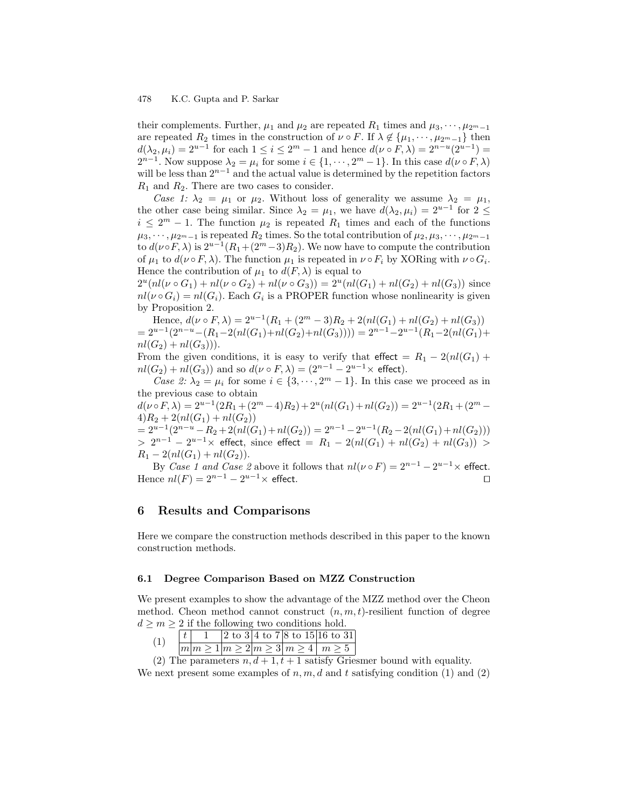their complements. Further,  $\mu_1$  and  $\mu_2$  are repeated  $R_1$  times and  $\mu_3, \cdots, \mu_{2^m-1}$ are repeated  $R_2$  times in the construction of  $\nu \circ F$ . If  $\lambda \notin {\{\mu_1, \cdots, \mu_{2^m-1}\}}$  then  $d(\lambda_2, \mu_i) = 2^{u-1}$  for each  $1 \leq i \leq 2^m - 1$  and hence  $d(\nu \circ F, \lambda) = 2^{n-u}(2^{u-1}) =$  $2^{n-1}$ . Now suppose  $\lambda_2 = \mu_i$  for some  $i \in \{1, \dots, 2^m - 1\}$ . In this case  $d(\nu \circ F, \lambda)$ will be less than  $2^{n-1}$  and the actual value is determined by the repetition factors  $R_1$  and  $R_2$ . There are two cases to consider.

Case 1:  $\lambda_2 = \mu_1$  or  $\mu_2$ . Without loss of generality we assume  $\lambda_2 = \mu_1$ , the other case being similar. Since  $\lambda_2 = \mu_1$ , we have  $d(\lambda_2, \mu_i) = 2^{u-1}$  for  $2 \le$  $i \leq 2^m - 1$ . The function  $\mu_2$  is repeated  $R_1$  times and each of the functions  $\mu_3, \cdots, \mu_{2^m-1}$  is repeated  $R_2$  times. So the total contribution of  $\mu_2, \mu_3, \cdots, \mu_{2^m-1}$ to  $d(\nu \circ F, \lambda)$  is  $2^{u-1}(R_1 + (2^m-3)R_2)$ . We now have to compute the contribution of  $\mu_1$  to  $d(\nu \circ F, \lambda)$ . The function  $\mu_1$  is repeated in  $\nu \circ F_i$  by XORing with  $\nu \circ G_i$ . Hence the contribution of  $\mu_1$  to  $d(F, \lambda)$  is equal to

 $2^u(nl(\nu \circ G_1) + nl(\nu \circ G_2) + nl(\nu \circ G_3)) = 2^u(nl(G_1) + nl(G_2) + nl(G_3))$  since  $nl(\nu \circ G_i) = nl(G_i)$ . Each  $G_i$  is a PROPER function whose nonlinearity is given by Proposition 2.

Hence,  $d(\nu \circ F, \lambda) = 2^{u-1}(R_1 + (2^m - 3)R_2 + 2(nl(G_1) + nl(G_2) + nl(G_3))$  $= 2^{u-1}(2^{n-u} - (R_1 - 2(nl(G_1) + nl(G_2) + nl(G_3)))) = 2^{n-1} - 2^{u-1}(R_1 - 2(nl(G_1) +$  $nl(G_2) + nl(G_3))$ .

From the given conditions, it is easy to verify that effect =  $R_1 - 2(nl(G_1) +$  $nl(G_2) + nl(G_3)$  and so  $d(\nu \circ F, \lambda) = (2^{n-1} - 2^{u-1} \times \text{effect}).$ 

Case 2:  $\lambda_2 = \mu_i$  for some  $i \in \{3, \dots, 2^m - 1\}$ . In this case we proceed as in the previous case to obtain

 $d(\nu \circ F, \lambda) = 2^{u-1}(2R_1 + (2^m - 4)R_2) + 2^u(nl(G_1) + nl(G_2)) = 2^{u-1}(2R_1 + (2^m 4)R_2 + 2(nl(G_1) + nl(G_2))$  $= 2^{u-1}(2^{n-u}-R_2+2(nl(G_1)+nl(G_2)) = 2^{n-1}-2^{u-1}(R_2-2(nl(G_1)+nl(G_2)))$ 

 $> 2^{n-1} - 2^{u-1} \times$  effect, since effect =  $R_1 - 2(nl(G_1) + nl(G_2) + nl(G_3))$  $R_1 - 2(nl(G_1) + nl(G_2)).$ 

By Case 1 and Case 2 above it follows that  $nl(\nu \circ F) = 2^{n-1} - 2^{u-1} \times$  effect. Hence  $nl(F) = 2^{n-1} - 2^{u-1} \times$  effect.

# 6 Results and Comparisons

Here we compare the construction methods described in this paper to the known construction methods.

### 6.1 Degree Comparison Based on MZZ Construction

We present examples to show the advantage of the MZZ method over the Cheon method. Cheon method cannot construct  $(n, m, t)$ -resilient function of degree  $d \geq m \geq 2$  if the following two conditions hold.

|  |  |  | $ 2 \t{to} 3 4 \t{to} 7 8 \t{to} 15 16 \t{to} 31 $ |
|--|--|--|----------------------------------------------------|
|  |  |  | m m>1 m>2 m>3 m>4 m>5                              |

(2) The parameters  $n, d+1, t+1$  satisfy Griesmer bound with equality. We next present some examples of n, m, d and t satisfying condition (1) and (2)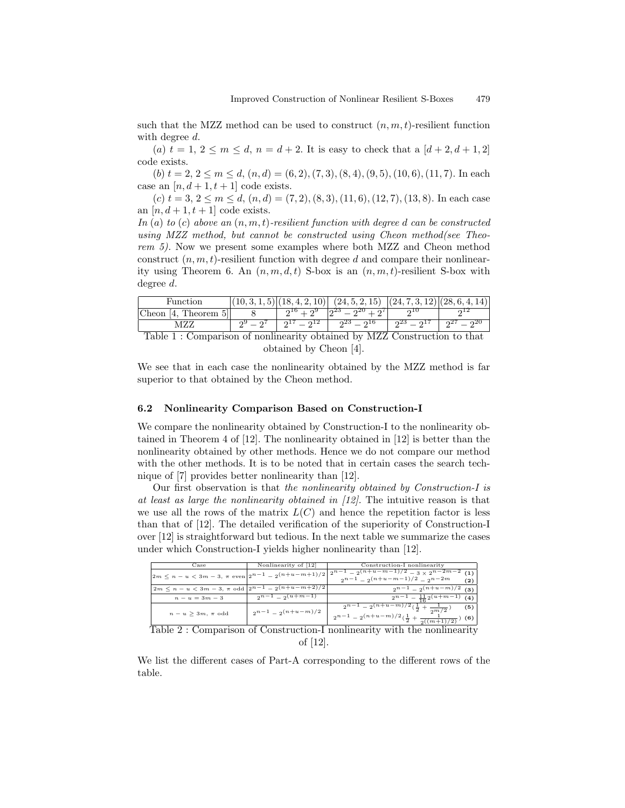such that the MZZ method can be used to construct  $(n, m, t)$ -resilient function with degree d.

(a)  $t = 1, 2 \le m \le d, n = d + 2$ . It is easy to check that a  $[d + 2, d + 1, 2]$ code exists.

(b)  $t = 2, 2 \le m \le d$ ,  $(n, d) = (6, 2), (7, 3), (8, 4), (9, 5), (10, 6), (11, 7)$ . In each case an  $[n, d+1, t+1]$  code exists.

(c)  $t = 3, 2 \le m \le d$ ,  $(n, d) = (7, 2), (8, 3), (11, 6), (12, 7), (13, 8)$ . In each case an  $[n, d+1, t+1]$  code exists.

In  $(a)$  to  $(c)$  above an  $(n, m, t)$ -resilient function with degree d can be constructed using MZZ method, but cannot be constructed using Cheon method(see Theorem 5). Now we present some examples where both MZZ and Cheon method construct  $(n, m, t)$ -resilient function with degree d and compare their nonlinearity using Theorem 6. An  $(n, m, d, t)$  S-box is an  $(n, m, t)$ -resilient S-box with degree d.

| Function                                                                    |  | .4.2.10    | $(24, 5, 2, 15)$ $(24, 7, 3, 12)$ $(28, 6, 4, 1)$ |           |           |  |
|-----------------------------------------------------------------------------|--|------------|---------------------------------------------------|-----------|-----------|--|
| Cheon<br>Theorem.<br>$^{14}$ .                                              |  | ിച്ച<br>റൗ | $\Omega^{\text{2U}} + \Omega^{\text{U}}$<br>ഹം    | ດ⊥∪       |           |  |
|                                                                             |  | 21(21)     | $2^{23} - 2^{16}$                                 | $23 - 21$ | $27 - 20$ |  |
| $T_0$ la<br>Companison of poplines ity obtained by M77 Construction to that |  |            |                                                   |           |           |  |

Table 1 : Comparison of nonlinearity obtained by MZZ Construction to that obtained by Cheon [4].

We see that in each case the nonlinearity obtained by the MZZ method is far superior to that obtained by the Cheon method.

#### 6.2 Nonlinearity Comparison Based on Construction-I

We compare the nonlinearity obtained by Construction-I to the nonlinearity obtained in Theorem 4 of [12]. The nonlinearity obtained in [12] is better than the nonlinearity obtained by other methods. Hence we do not compare our method with the other methods. It is to be noted that in certain cases the search technique of [7] provides better nonlinearity than [12].

Our first observation is that the nonlinearity obtained by Construction-I is at least as large the nonlinearity obtained in [12]. The intuitive reason is that we use all the rows of the matrix  $L(C)$  and hence the repetition factor is less than that of [12]. The detailed verification of the superiority of Construction-I over [12] is straightforward but tedious. In the next table we summarize the cases under which Construction-I yields higher nonlinearity than [12].

| $\rm Case$                                                    | Nonlinearity of [12]    | Construction-I nonlinearity                                                                                                                 |
|---------------------------------------------------------------|-------------------------|---------------------------------------------------------------------------------------------------------------------------------------------|
|                                                               |                         | $\left  2m \leq n-u < 3m-3, \pi \text{ even} \right  2^{n-1} - 2(n+u-m+1)/2 \left  2^{n-1} - 2^{(n+u-m-1)/2} - 3 \times 2^{n-2m-2} \right $ |
|                                                               |                         | $2^{n-1} - 2(n+u-m-1)/2 - 2n-2m$<br>(2)                                                                                                     |
| $2m \leq n - u < 3m - 3, \pi$ odd $2^{n-1} - 2^{(n+u-m+2)/2}$ |                         | $2^{n-1} - 2(n+u-m)/2$<br>(3)                                                                                                               |
| $n - u = 3m - 3$                                              | $2^{n-1} - 2^{(u+m-1)}$ | $2^{n-1} - \frac{11}{6} 2^{(u+m-1)}$ (4)                                                                                                    |
|                                                               |                         | $\frac{2^{n-1}-2^{(n+u-m)/2}(\frac{1}{2}+\frac{1}{2^{m/2}})}{2^{m/2}}$<br>(5)                                                               |
| $n-u\geq 3m, \pi$ odd                                         | $2^{n-1} - 2(n+u-m)/2$  | $2^{n-1} - 2(n+u-m)/2(\frac{1}{2} + \frac{1}{2((m+1)/2)}$<br>(6)                                                                            |

Table 2 : Comparison of Construction-I nonlinearity with the nonlinearity of [12].

We list the different cases of Part-A corresponding to the different rows of the table.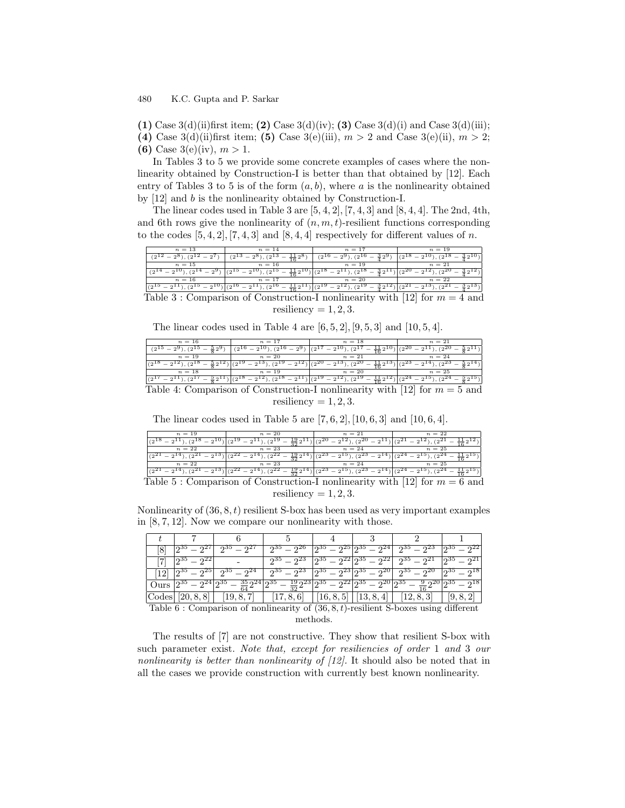(1) Case 3(d)(ii)first item; (2) Case 3(d)(iv); (3) Case 3(d)(i) and Case 3(d)(iii); (4) Case 3(d)(ii)first item; (5) Case 3(e)(iii),  $m > 2$  and Case 3(e)(ii),  $m > 2$ ;

(6) Case 3(e)(iv),  $m > 1$ .

In Tables 3 to 5 we provide some concrete examples of cases where the nonlinearity obtained by Construction-I is better than that obtained by [12]. Each entry of Tables 3 to 5 is of the form  $(a, b)$ , where a is the nonlinearity obtained by [12] and b is the nonlinearity obtained by Construction-I.

The linear codes used in Table 3 are  $[5, 4, 2]$ ,  $[7, 4, 3]$  and  $[8, 4, 4]$ . The 2nd, 4th, and 6th rows give the nonlinearity of  $(n, m, t)$ -resilient functions corresponding to the codes  $[5, 4, 2]$ ,  $[7, 4, 3]$  and  $[8, 4, 4]$  respectively for different values of n.

| $n=13$                                                                           | $n = 14$  | $n_{\rm{1}}=17$ | $n = 19$ |  |  |  |
|----------------------------------------------------------------------------------|-----------|-----------------|----------|--|--|--|
|                                                                                  |           |                 |          |  |  |  |
| $n=15$                                                                           | $n = 16$  | $n = 19$        | $n = 21$ |  |  |  |
| $\sqrt{2}$                                                                       |           |                 |          |  |  |  |
| $n = 16$                                                                         | $n = 17$  | $n = 20$        | $n=22$   |  |  |  |
| (010                                                                             | $(2^{10}$ | 7919            |          |  |  |  |
| Comparison of Construction-I nonlinearity with [12] for $m = 4$ and<br>'Table 3- |           |                 |          |  |  |  |

resiliency  $= 1, 2, 3$ .

The linear codes used in Table 4 are  $[6, 5, 2]$ ,  $[9, 5, 3]$  and  $[10, 5, 4]$ .

| $n = 16$ | $n = 17$ | $n = 18$                                                                     |  |
|----------|----------|------------------------------------------------------------------------------|--|
|          |          |                                                                              |  |
| $n = 19$ | $n = 20$ | $n = 21$                                                                     |  |
|          |          |                                                                              |  |
| $n=18$   | $n = 19$ | $n = 20$                                                                     |  |
|          | (910     | (0.15)                                                                       |  |
|          |          | Table 4: Comparison of Construction I nonlinearity with [19] for $m = 5$ and |  |

Table 4: Comparison of Construction-I nonlinearity with  $|12|$  for  $m = 5$  and resiliency  $= 1, 2, 3$ .

The linear codes used in Table 5 are  $[7, 6, 2]$ ,  $[10, 6, 3]$  and  $[10, 6, 4]$ .

| $n =$                                             | $n=20$                                              | $n=21$                                              | $n = 22$ |
|---------------------------------------------------|-----------------------------------------------------|-----------------------------------------------------|----------|
|                                                   |                                                     |                                                     |          |
| $n=22$                                            | $n = 23$                                            | $n = 24$                                            | $n = 25$ |
|                                                   |                                                     |                                                     |          |
| $n=22$                                            | $=23$                                               | $n = 24$                                            | $n = 25$ |
|                                                   |                                                     |                                                     |          |
| $\sim$<br>--<br>- - -<br>$\overline{\phantom{a}}$ | $\sim$<br>$\sim$ $\sim$<br>the contract of the con- | $\cdots$ $\cdots$ $\cdots$ $\cdots$<br>$\sim$<br>-- | $\sim$   |

Table 5 : Comparison of Construction-I nonlinearity with [12] for  $m = 6$  and resiliency =  $1, 2, 3$ .

Nonlinearity of  $(36, 8, t)$  resilient S-box has been used as very important examples in [8, 7, 12]. Now we compare our nonlinearity with those.

|           |                   |                                                                                                                                                                                                                                               | $2^{35} - 2^{26}$ |  | $\lfloor 2^{35} - 2^{25} \rfloor 2^{35} - 2^{24} \rfloor$ $\lfloor 2^{35} - 2^{23} \rfloor$ |  |
|-----------|-------------------|-----------------------------------------------------------------------------------------------------------------------------------------------------------------------------------------------------------------------------------------------|-------------------|--|---------------------------------------------------------------------------------------------|--|
|           | $2^{35} - 2^{22}$ |                                                                                                                                                                                                                                               |                   |  | $2^{35} - 2^{23}$ $ 2^{35} - 2^{22} 2^{35} - 2^{22} $ $2^{35} - 2^{21}$ $ 2^{35} - 2^{21} $ |  |
| <b>12</b> |                   | $\lfloor 2^{35} - 2^{25} \rfloor$ $\lfloor 2^{35} - 2^{24} \rfloor$ $\lfloor 2^{35} - 2^{23} \rfloor$ $\lfloor 2^{35} - 2^{23} \rfloor$ $\lfloor 2^{35} - 2^{20} \rfloor$ $\lfloor 2^{35} - 2^{20} \rfloor$ $\lfloor 2^{35} - 2^{18} \rfloor$ |                   |  |                                                                                             |  |
|           |                   | $12^{35} - 2^{24} \cdot 2^{35} - \frac{35}{64} \cdot 2^{24} \cdot 2^{35} - \frac{19}{32} \cdot 2^{23} \cdot 2^{35} - 2^{22} \cdot 2^{35} - 2^{20} \cdot 2^{35} - \frac{9}{12} \cdot 2^{20} \cdot 2^{35} - 2^{18} \cdot 2^{35}$                |                   |  |                                                                                             |  |
| Codes     |                   | $[20, 8, 8]$   $[19, 8, 7]$   $[17, 8, 6]$   $[16, 8, 5]$   $[13, 8, 4]$   $[12, 8, 3]$   $[9, 8, 2]$                                                                                                                                         |                   |  |                                                                                             |  |

Table 6 : Comparison of nonlinearity of  $(36, 8, t)$ -resilient S-boxes using different methods.

The results of [7] are not constructive. They show that resilient S-box with such parameter exist. Note that, except for resiliencies of order 1 and 3 our nonlinearity is better than nonlinearity of [12]. It should also be noted that in all the cases we provide construction with currently best known nonlinearity.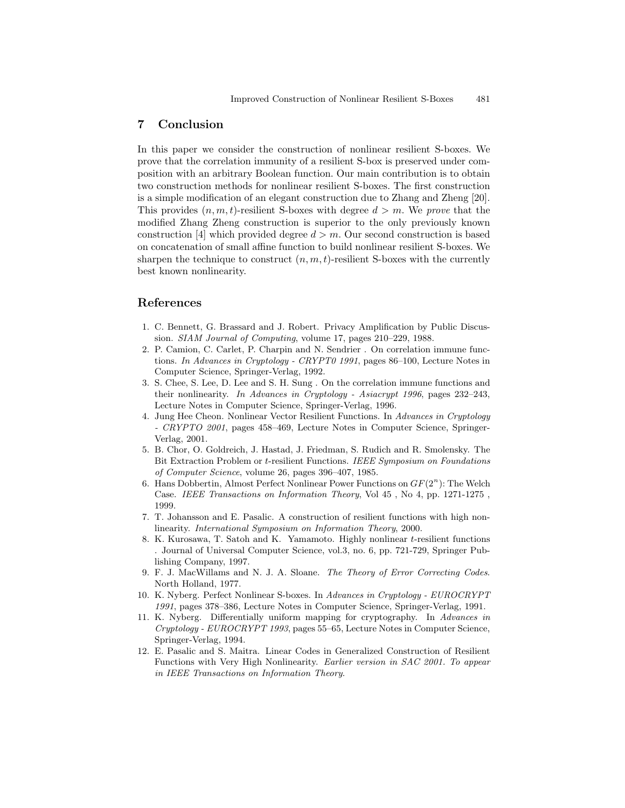# 7 Conclusion

In this paper we consider the construction of nonlinear resilient S-boxes. We prove that the correlation immunity of a resilient S-box is preserved under composition with an arbitrary Boolean function. Our main contribution is to obtain two construction methods for nonlinear resilient S-boxes. The first construction is a simple modification of an elegant construction due to Zhang and Zheng [20]. This provides  $(n, m, t)$ -resilient S-boxes with degree  $d > m$ . We prove that the modified Zhang Zheng construction is superior to the only previously known construction [4] which provided degree  $d > m$ . Our second construction is based on concatenation of small affine function to build nonlinear resilient S-boxes. We sharpen the technique to construct  $(n, m, t)$ -resilient S-boxes with the currently best known nonlinearity.

# References

- 1. C. Bennett, G. Brassard and J. Robert. Privacy Amplification by Public Discussion. SIAM Journal of Computing, volume 17, pages 210–229, 1988.
- 2. P. Camion, C. Carlet, P. Charpin and N. Sendrier . On correlation immune functions. In Advances in Cryptology - CRYPT0 1991, pages 86–100, Lecture Notes in Computer Science, Springer-Verlag, 1992.
- 3. S. Chee, S. Lee, D. Lee and S. H. Sung . On the correlation immune functions and their nonlinearity. In Advances in Cryptology - Asiacrypt 1996, pages 232–243, Lecture Notes in Computer Science, Springer-Verlag, 1996.
- 4. Jung Hee Cheon. Nonlinear Vector Resilient Functions. In Advances in Cryptology - CRYPTO 2001, pages 458–469, Lecture Notes in Computer Science, Springer-Verlag, 2001.
- 5. B. Chor, O. Goldreich, J. Hastad, J. Friedman, S. Rudich and R. Smolensky. The Bit Extraction Problem or t-resilient Functions. IEEE Symposium on Foundations of Computer Science, volume 26, pages 396–407, 1985.
- 6. Hans Dobbertin, Almost Perfect Nonlinear Power Functions on  $GF(2^n)$ : The Welch Case. IEEE Transactions on Information Theory, Vol 45 , No 4, pp. 1271-1275 , 1999.
- 7. T. Johansson and E. Pasalic. A construction of resilient functions with high nonlinearity. International Symposium on Information Theory, 2000.
- 8. K. Kurosawa, T. Satoh and K. Yamamoto. Highly nonlinear t-resilient functions . Journal of Universal Computer Science, vol.3, no. 6, pp. 721-729, Springer Publishing Company, 1997.
- 9. F. J. MacWillams and N. J. A. Sloane. The Theory of Error Correcting Codes. North Holland, 1977.
- 10. K. Nyberg. Perfect Nonlinear S-boxes. In Advances in Cryptology EUROCRYPT 1991, pages 378–386, Lecture Notes in Computer Science, Springer-Verlag, 1991.
- 11. K. Nyberg. Differentially uniform mapping for cryptography. In Advances in Cryptology - EUROCRYPT 1993, pages 55–65, Lecture Notes in Computer Science, Springer-Verlag, 1994.
- 12. E. Pasalic and S. Maitra. Linear Codes in Generalized Construction of Resilient Functions with Very High Nonlinearity. Earlier version in SAC 2001. To appear in IEEE Transactions on Information Theory.